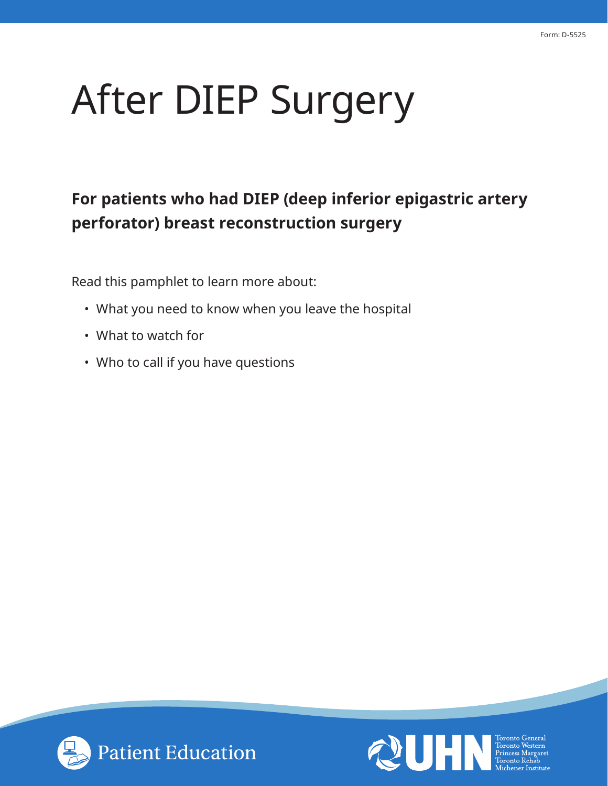# After DIEP Surgery

## **For patients who had DIEP (deep inferior epigastric artery perforator) breast reconstruction surgery**

Read this pamphlet to learn more about:

- What you need to know when you leave the hospital
- What to watch for
- Who to call if you have questions



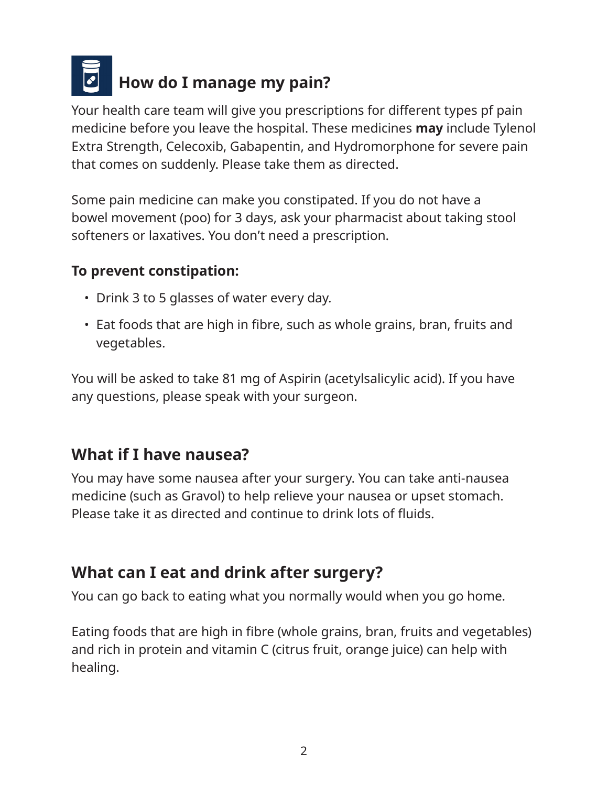

Your health care team will give you prescriptions for different types pf pain medicine before you leave the hospital. These medicines **may** include Tylenol Extra Strength, Celecoxib, Gabapentin, and Hydromorphone for severe pain that comes on suddenly. Please take them as directed.

Some pain medicine can make you constipated. If you do not have a bowel movement (poo) for 3 days, ask your pharmacist about taking stool softeners or laxatives. You don't need a prescription.

#### **To prevent constipation:**

- Drink 3 to 5 glasses of water every day.
- Eat foods that are high in fibre, such as whole grains, bran, fruits and vegetables.

You will be asked to take 81 mg of Aspirin (acetylsalicylic acid). If you have any questions, please speak with your surgeon.

## **What if I have nausea?**

You may have some nausea after your surgery. You can take anti-nausea medicine (such as Gravol) to help relieve your nausea or upset stomach. Please take it as directed and continue to drink lots of fluids.

## **What can I eat and drink after surgery?**

You can go back to eating what you normally would when you go home.

Eating foods that are high in fibre (whole grains, bran, fruits and vegetables) and rich in protein and vitamin C (citrus fruit, orange juice) can help with healing.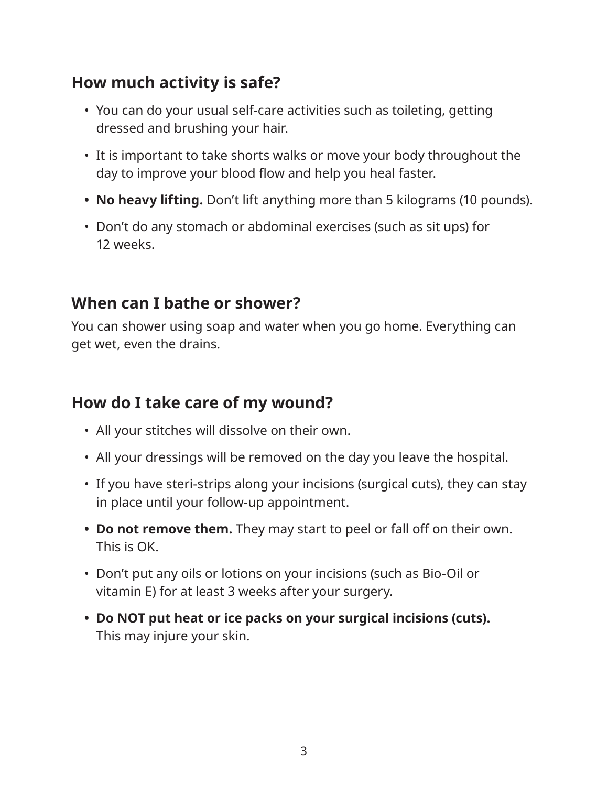## **How much activity is safe?**

- You can do your usual self-care activities such as toileting, getting dressed and brushing your hair.
- It is important to take shorts walks or move your body throughout the day to improve your blood flow and help you heal faster.
- **• No heavy lifting.** Don't lift anything more than 5 kilograms (10 pounds).
- Don't do any stomach or abdominal exercises (such as sit ups) for 12 weeks.

### **When can I bathe or shower?**

You can shower using soap and water when you go home. Everything can get wet, even the drains.

### **How do I take care of my wound?**

- All your stitches will dissolve on their own.
- All your dressings will be removed on the day you leave the hospital.
- If you have steri-strips along your incisions (surgical cuts), they can stay in place until your follow-up appointment.
- **• Do not remove them.** They may start to peel or fall off on their own. This is OK.
- Don't put any oils or lotions on your incisions (such as Bio-Oil or vitamin E) for at least 3 weeks after your surgery.
- **• Do NOT put heat or ice packs on your surgical incisions (cuts).** This may injure your skin.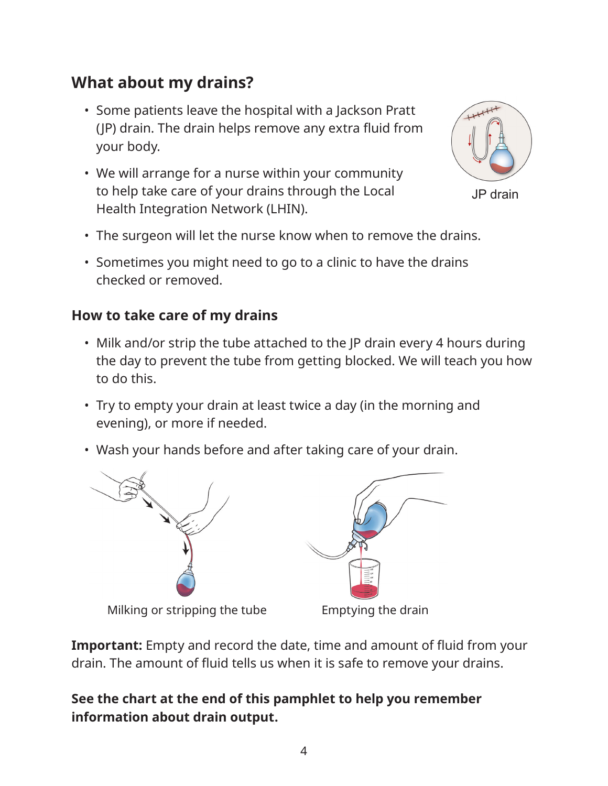## **What about my drains?**

- Some patients leave the hospital with a Jackson Pratt (JP) drain. The drain helps remove any extra fluid from your body.
- We will arrange for a nurse within your community to help take care of your drains through the Local Health Integration Network (LHIN).



JP drain

- The surgeon will let the nurse know when to remove the drains.
- Sometimes you might need to go to a clinic to have the drains checked or removed.

#### **How to take care of my drains**

- Milk and/or strip the tube attached to the JP drain every 4 hours during the day to prevent the tube from getting blocked. We will teach you how to do this.
- Try to empty your drain at least twice a day (in the morning and evening), or more if needed.
- Wash your hands before and after taking care of your drain.



**Important:** Empty and record the date, time and amount of fluid from your drain. The amount of fluid tells us when it is safe to remove your drains.

#### **See the chart at the end of this pamphlet to help you remember information about drain output.**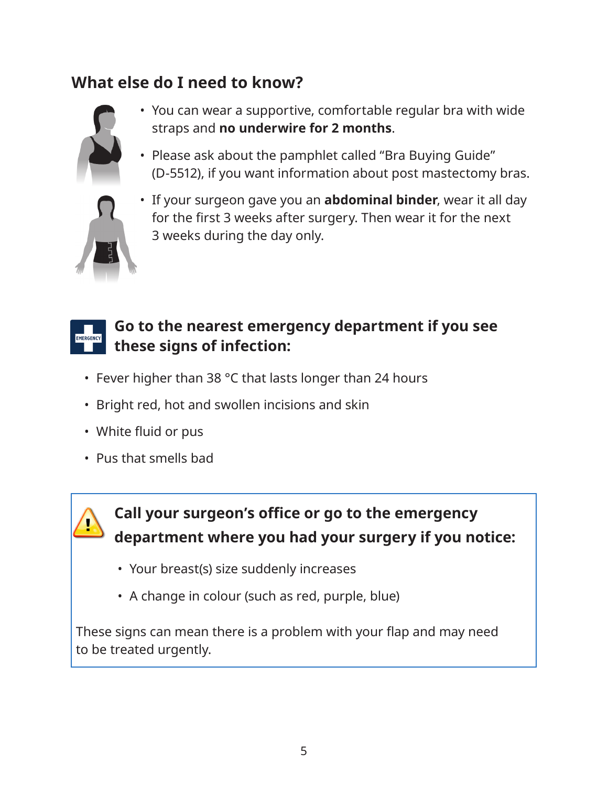## **What else do I need to know?**



- You can wear a supportive, comfortable regular bra with wide straps and **no underwire for 2 months**.
- Please ask about the pamphlet called "Bra Buying Guide" (D-5512), if you want information about post mastectomy bras.



• If your surgeon gave you an **abdominal binder**, wear it all day for the first 3 weeks after surgery. Then wear it for the next 3 weeks during the day only.

#### **Go to the nearest emergency department if you see**  EMERGENCY **these signs of infection:**

- Fever higher than 38 °C that lasts longer than 24 hours
- Bright red, hot and swollen incisions and skin
- White fluid or pus
- Pus that smells bad



## **Call your surgeon's office or go to the emergency department where you had your surgery if you notice:**

- Your breast(s) size suddenly increases
- A change in colour (such as red, purple, blue)

These signs can mean there is a problem with your flap and may need to be treated urgently.